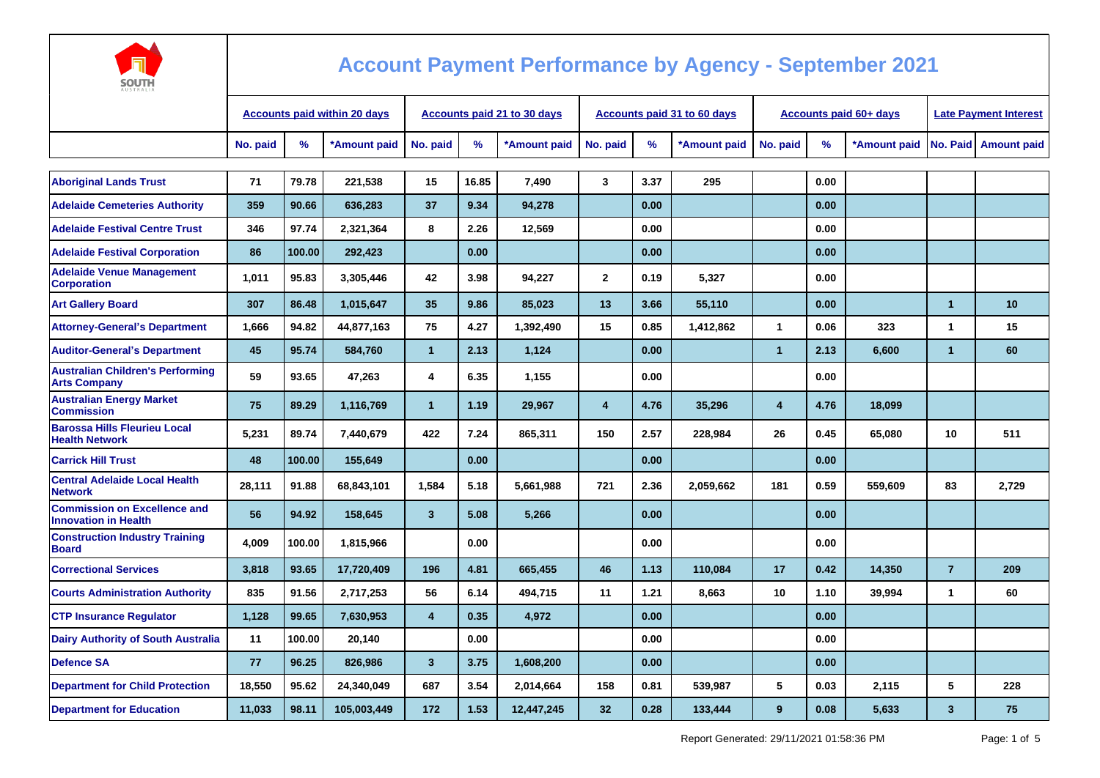

| <b>AUSTRALIA</b>                                                   |          |                                     |                             |                |       |              |                |                                    |              |                               |                              |              |                      |                        |
|--------------------------------------------------------------------|----------|-------------------------------------|-----------------------------|----------------|-------|--------------|----------------|------------------------------------|--------------|-------------------------------|------------------------------|--------------|----------------------|------------------------|
|                                                                    |          | <b>Accounts paid within 20 days</b> | Accounts paid 21 to 30 days |                |       |              |                | <b>Accounts paid 31 to 60 days</b> |              | <b>Accounts paid 60+ days</b> | <b>Late Payment Interest</b> |              |                      |                        |
|                                                                    | No. paid | %                                   | *Amount paid                | No. paid       | %     | *Amount paid | No. paid       | %                                  | *Amount paid | No. paid                      | %                            | *Amount paid |                      | No. Paid   Amount paid |
|                                                                    |          |                                     |                             |                |       |              |                |                                    |              |                               |                              |              |                      |                        |
| <b>Aboriginal Lands Trust</b>                                      | 71       | 79.78                               | 221,538                     | 15             | 16.85 | 7,490        | $\mathbf{3}$   | 3.37                               | 295          |                               | 0.00                         |              |                      |                        |
| <b>Adelaide Cemeteries Authority</b>                               | 359      | 90.66                               | 636,283                     | 37             | 9.34  | 94,278       |                | 0.00                               |              |                               | 0.00                         |              |                      |                        |
| <b>Adelaide Festival Centre Trust</b>                              | 346      | 97.74                               | 2,321,364                   | 8              | 2.26  | 12,569       |                | 0.00                               |              |                               | 0.00                         |              |                      |                        |
| <b>Adelaide Festival Corporation</b>                               | 86       | 100.00                              | 292,423                     |                | 0.00  |              |                | 0.00                               |              |                               | 0.00                         |              |                      |                        |
| <b>Adelaide Venue Management</b><br><b>Corporation</b>             | 1,011    | 95.83                               | 3,305,446                   | 42             | 3.98  | 94,227       | $\mathbf{2}$   | 0.19                               | 5,327        |                               | 0.00                         |              |                      |                        |
| <b>Art Gallery Board</b>                                           | 307      | 86.48                               | 1,015,647                   | 35             | 9.86  | 85,023       | 13             | 3.66                               | 55,110       |                               | 0.00                         |              | $\blacktriangleleft$ | 10                     |
| <b>Attorney-General's Department</b>                               | 1,666    | 94.82                               | 44,877,163                  | 75             | 4.27  | 1,392,490    | 15             | 0.85                               | 1,412,862    | 1                             | 0.06                         | 323          | $\mathbf 1$          | 15                     |
| <b>Auditor-General's Department</b>                                | 45       | 95.74                               | 584,760                     | $\mathbf{1}$   | 2.13  | 1,124        |                | 0.00                               |              | $\mathbf{1}$                  | 2.13                         | 6,600        | $\blacktriangleleft$ | 60                     |
| <b>Australian Children's Performing</b><br><b>Arts Company</b>     | 59       | 93.65                               | 47,263                      | 4              | 6.35  | 1,155        |                | 0.00                               |              |                               | 0.00                         |              |                      |                        |
| <b>Australian Energy Market</b><br><b>Commission</b>               | 75       | 89.29                               | 1,116,769                   | $\mathbf{1}$   | 1.19  | 29,967       | $\overline{4}$ | 4.76                               | 35,296       | 4                             | 4.76                         | 18,099       |                      |                        |
| <b>Barossa Hills Fleurieu Local</b><br><b>Health Network</b>       | 5.231    | 89.74                               | 7,440,679                   | 422            | 7.24  | 865,311      | 150            | 2.57                               | 228,984      | 26                            | 0.45                         | 65,080       | 10                   | 511                    |
| <b>Carrick Hill Trust</b>                                          | 48       | 100.00                              | 155,649                     |                | 0.00  |              |                | 0.00                               |              |                               | 0.00                         |              |                      |                        |
| <b>Central Adelaide Local Health</b><br><b>Network</b>             | 28,111   | 91.88                               | 68,843,101                  | 1,584          | 5.18  | 5,661,988    | 721            | 2.36                               | 2,059,662    | 181                           | 0.59                         | 559,609      | 83                   | 2,729                  |
| <b>Commission on Excellence and</b><br><b>Innovation in Health</b> | 56       | 94.92                               | 158,645                     | $\mathbf{3}$   | 5.08  | 5,266        |                | 0.00                               |              |                               | 0.00                         |              |                      |                        |
| <b>Construction Industry Training</b><br><b>Board</b>              | 4,009    | 100.00                              | 1,815,966                   |                | 0.00  |              |                | 0.00                               |              |                               | 0.00                         |              |                      |                        |
| <b>Correctional Services</b>                                       | 3,818    | 93.65                               | 17,720,409                  | 196            | 4.81  | 665,455      | 46             | 1.13                               | 110,084      | 17                            | 0.42                         | 14,350       | $\overline{7}$       | 209                    |
| <b>Courts Administration Authority</b>                             | 835      | 91.56                               | 2,717,253                   | 56             | 6.14  | 494,715      | 11             | 1.21                               | 8,663        | 10                            | 1.10                         | 39,994       | $\mathbf 1$          | 60                     |
| <b>CTP Insurance Requlator</b>                                     | 1,128    | 99.65                               | 7,630,953                   | $\overline{4}$ | 0.35  | 4,972        |                | 0.00                               |              |                               | 0.00                         |              |                      |                        |
| <b>Dairy Authority of South Australia</b>                          | 11       | 100.00                              | 20,140                      |                | 0.00  |              |                | 0.00                               |              |                               | 0.00                         |              |                      |                        |
| <b>Defence SA</b>                                                  | 77       | 96.25                               | 826,986                     | $\mathbf{3}$   | 3.75  | 1,608,200    |                | 0.00                               |              |                               | 0.00                         |              |                      |                        |
| <b>Department for Child Protection</b>                             | 18,550   | 95.62                               | 24,340,049                  | 687            | 3.54  | 2,014,664    | 158            | 0.81                               | 539,987      | 5                             | 0.03                         | 2,115        | 5                    | 228                    |
| <b>Department for Education</b>                                    | 11,033   | 98.11                               | 105,003,449                 | 172            | 1.53  | 12,447,245   | 32             | 0.28                               | 133,444      | 9                             | 0.08                         | 5,633        | $\mathbf{3}$         | 75                     |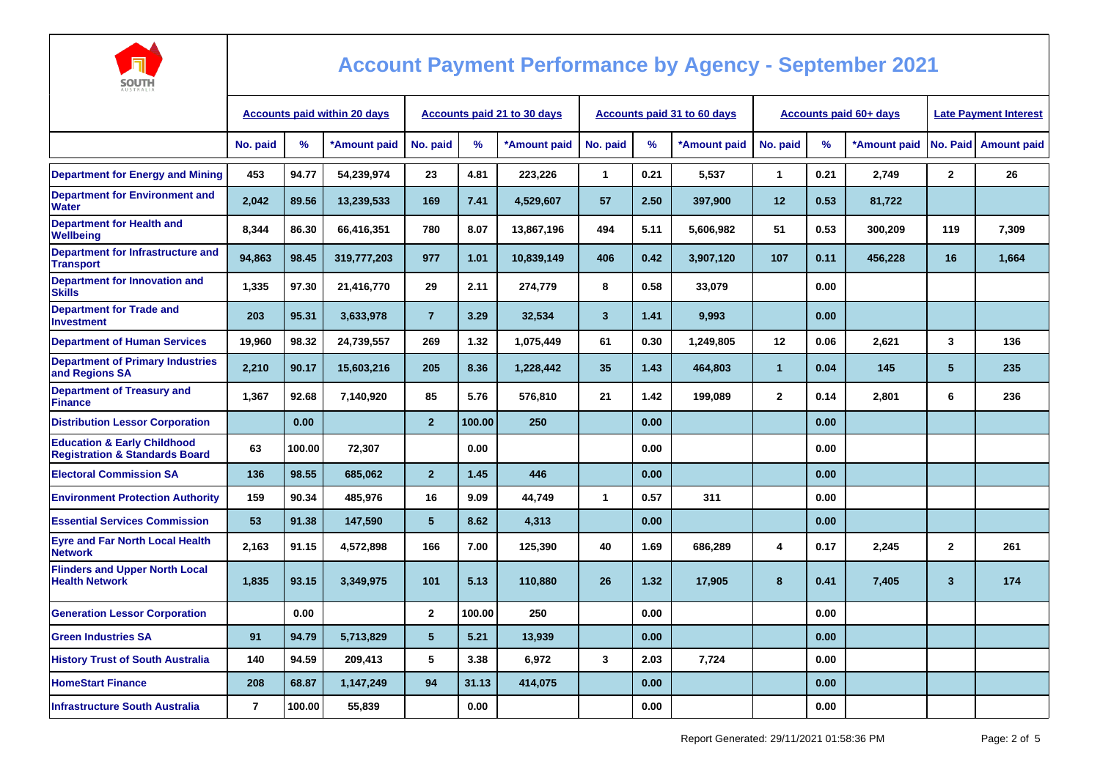

| AUSIKALIA                                                                           |                                     |        |                             |                 |        |                                    |              |      |              |                               |                              |              |              |                    |
|-------------------------------------------------------------------------------------|-------------------------------------|--------|-----------------------------|-----------------|--------|------------------------------------|--------------|------|--------------|-------------------------------|------------------------------|--------------|--------------|--------------------|
|                                                                                     | <b>Accounts paid within 20 days</b> |        | Accounts paid 21 to 30 days |                 |        | <b>Accounts paid 31 to 60 days</b> |              |      |              | <b>Accounts paid 60+ days</b> | <b>Late Payment Interest</b> |              |              |                    |
|                                                                                     | No. paid                            | %      | *Amount paid                | No. paid        | %      | *Amount paid                       | No. paid     | $\%$ | *Amount paid | No. paid                      | %                            | *Amount paid | No. Paid     | <b>Amount paid</b> |
| <b>Department for Energy and Mining</b>                                             | 453                                 | 94.77  | 54,239,974                  | 23              | 4.81   | 223,226                            | $\mathbf{1}$ | 0.21 | 5,537        | $\mathbf{1}$                  | 0.21                         | 2,749        | $\mathbf{2}$ | 26                 |
| <b>Department for Environment and</b><br>Water                                      | 2,042                               | 89.56  | 13,239,533                  | 169             | 7.41   | 4,529,607                          | 57           | 2.50 | 397,900      | 12                            | 0.53                         | 81,722       |              |                    |
| <b>Department for Health and</b><br>Wellbeing                                       | 8,344                               | 86.30  | 66,416,351                  | 780             | 8.07   | 13,867,196                         | 494          | 5.11 | 5,606,982    | 51                            | 0.53                         | 300,209      | 119          | 7,309              |
| Department for Infrastructure and<br><b>Transport</b>                               | 94,863                              | 98.45  | 319,777,203                 | 977             | 1.01   | 10,839,149                         | 406          | 0.42 | 3,907,120    | 107                           | 0.11                         | 456,228      | 16           | 1,664              |
| Department for Innovation and<br><b>Skills</b>                                      | 1,335                               | 97.30  | 21,416,770                  | 29              | 2.11   | 274,779                            | 8            | 0.58 | 33,079       |                               | 0.00                         |              |              |                    |
| <b>Department for Trade and</b><br><b>Investment</b>                                | 203                                 | 95.31  | 3,633,978                   | $\overline{7}$  | 3.29   | 32,534                             | $\mathbf{3}$ | 1.41 | 9,993        |                               | 0.00                         |              |              |                    |
| <b>Department of Human Services</b>                                                 | 19.960                              | 98.32  | 24,739,557                  | 269             | 1.32   | 1,075,449                          | 61           | 0.30 | 1.249.805    | 12                            | 0.06                         | 2.621        | 3            | 136                |
| <b>Department of Primary Industries</b><br>and Regions SA                           | 2,210                               | 90.17  | 15,603,216                  | 205             | 8.36   | 1,228,442                          | 35           | 1.43 | 464,803      | $\mathbf{1}$                  | 0.04                         | 145          | 5            | 235                |
| <b>Department of Treasury and</b><br><b>Finance</b>                                 | 1,367                               | 92.68  | 7,140,920                   | 85              | 5.76   | 576,810                            | 21           | 1.42 | 199,089      | $\mathbf{2}$                  | 0.14                         | 2,801        | 6            | 236                |
| <b>Distribution Lessor Corporation</b>                                              |                                     | 0.00   |                             | $\mathbf 2$     | 100.00 | 250                                |              | 0.00 |              |                               | 0.00                         |              |              |                    |
| <b>Education &amp; Early Childhood</b><br><b>Registration &amp; Standards Board</b> | 63                                  | 100.00 | 72,307                      |                 | 0.00   |                                    |              | 0.00 |              |                               | 0.00                         |              |              |                    |
| <b>Electoral Commission SA</b>                                                      | 136                                 | 98.55  | 685,062                     | $\overline{2}$  | 1.45   | 446                                |              | 0.00 |              |                               | 0.00                         |              |              |                    |
| <b>Environment Protection Authority</b>                                             | 159                                 | 90.34  | 485,976                     | 16              | 9.09   | 44,749                             | $\mathbf{1}$ | 0.57 | 311          |                               | 0.00                         |              |              |                    |
| <b>Essential Services Commission</b>                                                | 53                                  | 91.38  | 147,590                     | 5               | 8.62   | 4,313                              |              | 0.00 |              |                               | 0.00                         |              |              |                    |
| <b>Eyre and Far North Local Health</b><br><b>Network</b>                            | 2,163                               | 91.15  | 4,572,898                   | 166             | 7.00   | 125,390                            | 40           | 1.69 | 686,289      | 4                             | 0.17                         | 2,245        | $\mathbf{2}$ | 261                |
| <b>Flinders and Upper North Local</b><br><b>Health Network</b>                      | 1,835                               | 93.15  | 3,349,975                   | 101             | 5.13   | 110,880                            | 26           | 1.32 | 17,905       | 8                             | 0.41                         | 7,405        | $\mathbf{3}$ | 174                |
| <b>Generation Lessor Corporation</b>                                                |                                     | 0.00   |                             | $\mathbf{2}$    | 100.00 | 250                                |              | 0.00 |              |                               | 0.00                         |              |              |                    |
| <b>Green Industries SA</b>                                                          | 91                                  | 94.79  | 5,713,829                   | $5\phantom{.0}$ | 5.21   | 13,939                             |              | 0.00 |              |                               | 0.00                         |              |              |                    |
| <b>History Trust of South Australia</b>                                             | 140                                 | 94.59  | 209,413                     | 5               | 3.38   | 6,972                              | 3            | 2.03 | 7,724        |                               | 0.00                         |              |              |                    |
| <b>HomeStart Finance</b>                                                            | 208                                 | 68.87  | 1,147,249                   | 94              | 31.13  | 414,075                            |              | 0.00 |              |                               | 0.00                         |              |              |                    |
| <b>Infrastructure South Australia</b>                                               | $\overline{7}$                      | 100.00 | 55,839                      |                 | 0.00   |                                    |              | 0.00 |              |                               | 0.00                         |              |              |                    |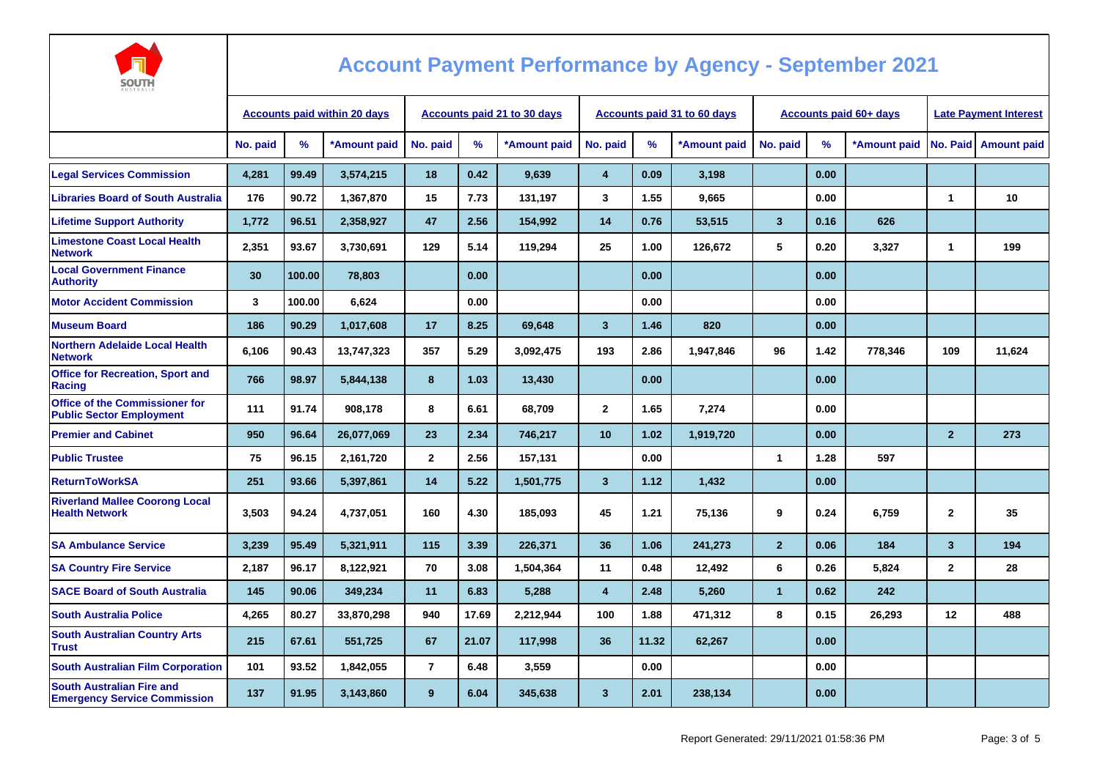

| AUSTRALIA                                                                |                                     |               |                                    |                |               |              |                         |                                    |              |                               |                              |              |                |                    |
|--------------------------------------------------------------------------|-------------------------------------|---------------|------------------------------------|----------------|---------------|--------------|-------------------------|------------------------------------|--------------|-------------------------------|------------------------------|--------------|----------------|--------------------|
|                                                                          | <b>Accounts paid within 20 days</b> |               | <b>Accounts paid 21 to 30 days</b> |                |               |              |                         | <b>Accounts paid 31 to 60 days</b> |              | <b>Accounts paid 60+ days</b> | <b>Late Payment Interest</b> |              |                |                    |
|                                                                          | No. paid                            | $\frac{9}{6}$ | *Amount paid                       | No. paid       | $\frac{9}{6}$ | *Amount paid | No. paid                | $\%$                               | *Amount paid | No. paid                      | %                            | *Amount paid | No. Paid       | <b>Amount paid</b> |
| <b>Legal Services Commission</b>                                         | 4,281                               | 99.49         | 3,574,215                          | 18             | 0.42          | 9,639        | $\overline{4}$          | 0.09                               | 3,198        |                               | 0.00                         |              |                |                    |
| <b>Libraries Board of South Australia</b>                                | 176                                 | 90.72         | 1,367,870                          | 15             | 7.73          | 131,197      | 3                       | 1.55                               | 9,665        |                               | 0.00                         |              | $\mathbf{1}$   | 10                 |
| <b>Lifetime Support Authority</b>                                        | 1,772                               | 96.51         | 2,358,927                          | 47             | 2.56          | 154,992      | 14                      | 0.76                               | 53,515       | $\mathbf{3}$                  | 0.16                         | 626          |                |                    |
| <b>Limestone Coast Local Health</b><br><b>Network</b>                    | 2,351                               | 93.67         | 3,730,691                          | 129            | 5.14          | 119,294      | 25                      | 1.00                               | 126,672      | 5                             | 0.20                         | 3,327        | $\mathbf{1}$   | 199                |
| <b>Local Government Finance</b><br><b>Authority</b>                      | 30                                  | 100.00        | 78,803                             |                | 0.00          |              |                         | 0.00                               |              |                               | 0.00                         |              |                |                    |
| <b>Motor Accident Commission</b>                                         | 3                                   | 100.00        | 6,624                              |                | 0.00          |              |                         | 0.00                               |              |                               | 0.00                         |              |                |                    |
| <b>Museum Board</b>                                                      | 186                                 | 90.29         | 1,017,608                          | 17             | 8.25          | 69,648       | 3                       | 1.46                               | 820          |                               | 0.00                         |              |                |                    |
| <b>Northern Adelaide Local Health</b><br><b>Network</b>                  | 6,106                               | 90.43         | 13,747,323                         | 357            | 5.29          | 3,092,475    | 193                     | 2.86                               | 1,947,846    | 96                            | 1.42                         | 778,346      | 109            | 11,624             |
| <b>Office for Recreation, Sport and</b><br>Racing                        | 766                                 | 98.97         | 5,844,138                          | 8              | 1.03          | 13,430       |                         | 0.00                               |              |                               | 0.00                         |              |                |                    |
| <b>Office of the Commissioner for</b><br><b>Public Sector Employment</b> | 111                                 | 91.74         | 908.178                            | 8              | 6.61          | 68,709       | $\mathbf{2}$            | 1.65                               | 7,274        |                               | 0.00                         |              |                |                    |
| <b>Premier and Cabinet</b>                                               | 950                                 | 96.64         | 26,077,069                         | 23             | 2.34          | 746,217      | 10                      | 1.02                               | 1,919,720    |                               | 0.00                         |              | $\overline{2}$ | 273                |
| <b>Public Trustee</b>                                                    | 75                                  | 96.15         | 2,161,720                          | $\mathbf{2}$   | 2.56          | 157,131      |                         | 0.00                               |              | 1                             | 1.28                         | 597          |                |                    |
| <b>ReturnToWorkSA</b>                                                    | 251                                 | 93.66         | 5,397,861                          | 14             | 5.22          | 1,501,775    | $\overline{\mathbf{3}}$ | 1.12                               | 1,432        |                               | 0.00                         |              |                |                    |
| <b>Riverland Mallee Coorong Local</b><br><b>Health Network</b>           | 3,503                               | 94.24         | 4,737,051                          | 160            | 4.30          | 185,093      | 45                      | 1.21                               | 75,136       | 9                             | 0.24                         | 6,759        | $\mathbf{2}$   | 35                 |
| <b>SA Ambulance Service</b>                                              | 3.239                               | 95.49         | 5,321,911                          | 115            | 3.39          | 226,371      | 36                      | 1.06                               | 241,273      | $\overline{2}$                | 0.06                         | 184          | 3              | 194                |
| <b>SA Country Fire Service</b>                                           | 2,187                               | 96.17         | 8,122,921                          | 70             | 3.08          | 1,504,364    | 11                      | 0.48                               | 12,492       | 6                             | 0.26                         | 5,824        | $\mathbf{2}$   | 28                 |
| <b>SACE Board of South Australia</b>                                     | 145                                 | 90.06         | 349,234                            | 11             | 6.83          | 5,288        | $\overline{\mathbf{4}}$ | 2.48                               | 5,260        | $\mathbf{1}$                  | 0.62                         | 242          |                |                    |
| <b>South Australia Police</b>                                            | 4,265                               | 80.27         | 33,870,298                         | 940            | 17.69         | 2,212,944    | 100                     | 1.88                               | 471,312      | 8                             | 0.15                         | 26,293       | 12             | 488                |
| <b>South Australian Country Arts</b><br><b>Trust</b>                     | 215                                 | 67.61         | 551,725                            | 67             | 21.07         | 117,998      | 36                      | 11.32                              | 62,267       |                               | 0.00                         |              |                |                    |
| <b>South Australian Film Corporation</b>                                 | 101                                 | 93.52         | 1,842,055                          | $\overline{7}$ | 6.48          | 3,559        |                         | 0.00                               |              |                               | 0.00                         |              |                |                    |
| <b>South Australian Fire and</b><br><b>Emergency Service Commission</b>  | 137                                 | 91.95         | 3,143,860                          | 9              | 6.04          | 345,638      | $\overline{\mathbf{3}}$ | 2.01                               | 238,134      |                               | 0.00                         |              |                |                    |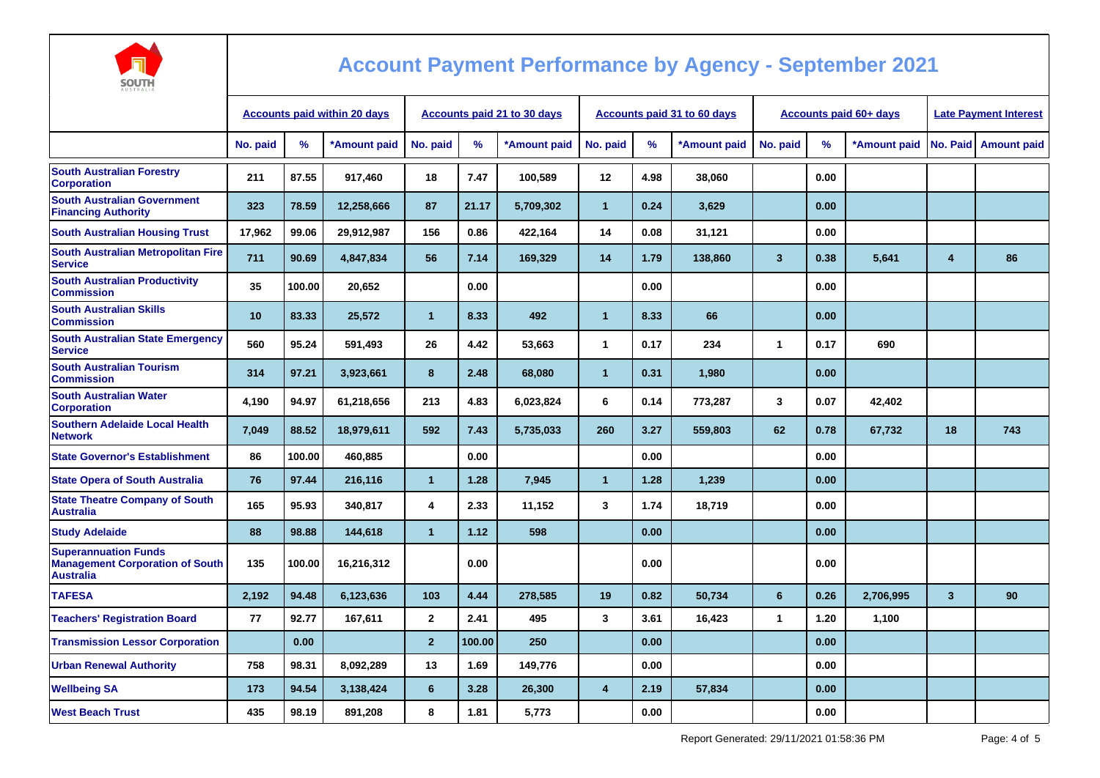

| <b>AUSTRALIA</b>                                                                          |                                     |               |              |                                    |        |              |                |      |                             |                               |      |              |                              |                    |
|-------------------------------------------------------------------------------------------|-------------------------------------|---------------|--------------|------------------------------------|--------|--------------|----------------|------|-----------------------------|-------------------------------|------|--------------|------------------------------|--------------------|
|                                                                                           | <b>Accounts paid within 20 days</b> |               |              | <b>Accounts paid 21 to 30 days</b> |        |              |                |      | Accounts paid 31 to 60 days | <b>Accounts paid 60+ days</b> |      |              | <b>Late Payment Interest</b> |                    |
|                                                                                           | No. paid                            | $\frac{9}{6}$ | *Amount paid | No. paid                           | $\%$   | *Amount paid | No. paid       | $\%$ | *Amount paid                | No. paid                      | %    | *Amount paid | No. Paid                     | <b>Amount paid</b> |
| <b>South Australian Forestry</b><br><b>Corporation</b>                                    | 211                                 | 87.55         | 917,460      | 18                                 | 7.47   | 100,589      | $12 \,$        | 4.98 | 38,060                      |                               | 0.00 |              |                              |                    |
| <b>South Australian Government</b><br><b>Financing Authority</b>                          | 323                                 | 78.59         | 12,258,666   | 87                                 | 21.17  | 5,709,302    | $\mathbf{1}$   | 0.24 | 3,629                       |                               | 0.00 |              |                              |                    |
| <b>South Australian Housing Trust</b>                                                     | 17,962                              | 99.06         | 29,912,987   | 156                                | 0.86   | 422,164      | 14             | 0.08 | 31,121                      |                               | 0.00 |              |                              |                    |
| South Australian Metropolitan Fire<br><b>Service</b>                                      | 711                                 | 90.69         | 4,847,834    | 56                                 | 7.14   | 169,329      | 14             | 1.79 | 138,860                     | $\overline{3}$                | 0.38 | 5,641        | 4                            | 86                 |
| <b>South Australian Productivity</b><br><b>Commission</b>                                 | 35                                  | 100.00        | 20,652       |                                    | 0.00   |              |                | 0.00 |                             |                               | 0.00 |              |                              |                    |
| <b>South Australian Skills</b><br><b>Commission</b>                                       | 10                                  | 83.33         | 25,572       | $\overline{1}$                     | 8.33   | 492          | $\overline{1}$ | 8.33 | 66                          |                               | 0.00 |              |                              |                    |
| <b>South Australian State Emergency</b><br><b>Service</b>                                 | 560                                 | 95.24         | 591,493      | 26                                 | 4.42   | 53,663       | $\mathbf{1}$   | 0.17 | 234                         | $\mathbf{1}$                  | 0.17 | 690          |                              |                    |
| <b>South Australian Tourism</b><br><b>Commission</b>                                      | 314                                 | 97.21         | 3,923,661    | 8                                  | 2.48   | 68,080       | $\mathbf{1}$   | 0.31 | 1,980                       |                               | 0.00 |              |                              |                    |
| <b>South Australian Water</b><br><b>Corporation</b>                                       | 4,190                               | 94.97         | 61,218,656   | 213                                | 4.83   | 6,023,824    | 6              | 0.14 | 773,287                     | 3                             | 0.07 | 42,402       |                              |                    |
| <b>Southern Adelaide Local Health</b><br><b>Network</b>                                   | 7.049                               | 88.52         | 18,979,611   | 592                                | 7.43   | 5,735,033    | 260            | 3.27 | 559,803                     | 62                            | 0.78 | 67,732       | 18                           | 743                |
| <b>State Governor's Establishment</b>                                                     | 86                                  | 100.00        | 460,885      |                                    | 0.00   |              |                | 0.00 |                             |                               | 0.00 |              |                              |                    |
| <b>State Opera of South Australia</b>                                                     | 76                                  | 97.44         | 216,116      | $\overline{1}$                     | 1.28   | 7,945        | $\overline{1}$ | 1.28 | 1,239                       |                               | 0.00 |              |                              |                    |
| <b>State Theatre Company of South</b><br><b>Australia</b>                                 | 165                                 | 95.93         | 340,817      | $\overline{4}$                     | 2.33   | 11,152       | 3              | 1.74 | 18,719                      |                               | 0.00 |              |                              |                    |
| <b>Study Adelaide</b>                                                                     | 88                                  | 98.88         | 144,618      | $\mathbf{1}$                       | 1.12   | 598          |                | 0.00 |                             |                               | 0.00 |              |                              |                    |
| <b>Superannuation Funds</b><br><b>Management Corporation of South</b><br><b>Australia</b> | 135                                 | 100.00        | 16,216,312   |                                    | 0.00   |              |                | 0.00 |                             |                               | 0.00 |              |                              |                    |
| <b>TAFESA</b>                                                                             | 2,192                               | 94.48         | 6,123,636    | 103                                | 4.44   | 278,585      | 19             | 0.82 | 50,734                      | 6                             | 0.26 | 2,706,995    | $\overline{\mathbf{3}}$      | 90                 |
| <b>Teachers' Registration Board</b>                                                       | 77                                  | 92.77         | 167,611      | $\mathbf{2}$                       | 2.41   | 495          | 3              | 3.61 | 16,423                      | $\mathbf{1}$                  | 1.20 | 1,100        |                              |                    |
| <b>Transmission Lessor Corporation</b>                                                    |                                     | 0.00          |              | $\overline{2}$                     | 100.00 | 250          |                | 0.00 |                             |                               | 0.00 |              |                              |                    |
| <b>Urban Renewal Authority</b>                                                            | 758                                 | 98.31         | 8,092,289    | 13                                 | 1.69   | 149,776      |                | 0.00 |                             |                               | 0.00 |              |                              |                    |
| <b>Wellbeing SA</b>                                                                       | 173                                 | 94.54         | 3,138,424    | $6\phantom{1}$                     | 3.28   | 26,300       | $\overline{4}$ | 2.19 | 57,834                      |                               | 0.00 |              |                              |                    |
| <b>West Beach Trust</b>                                                                   | 435                                 | 98.19         | 891,208      | 8                                  | 1.81   | 5,773        |                | 0.00 |                             |                               | 0.00 |              |                              |                    |